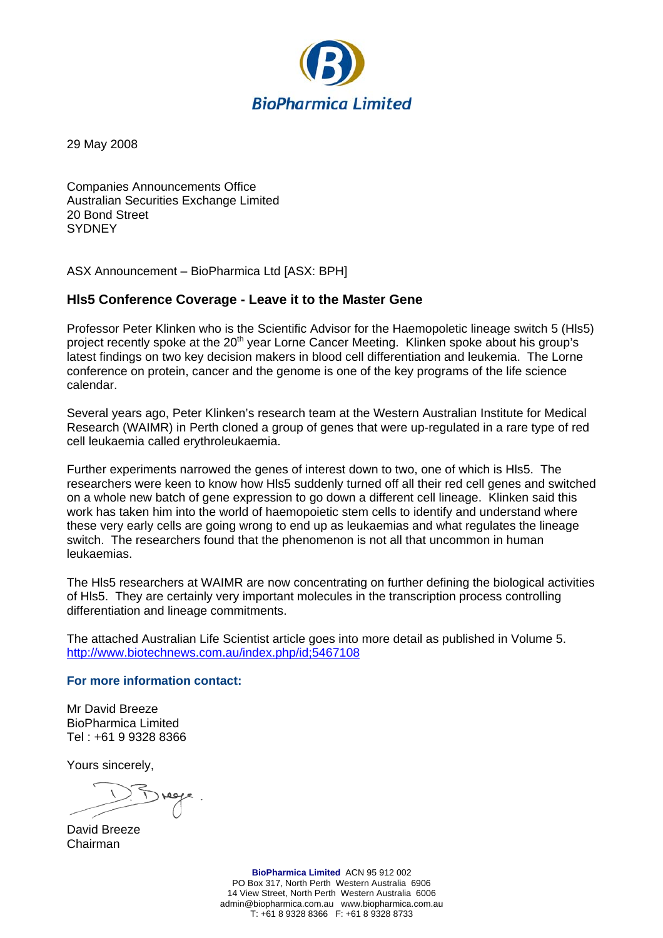

29 May 2008

Companies Announcements Office Australian Securities Exchange Limited 20 Bond Street **SYDNEY** 

ASX Announcement – BioPharmica Ltd [ASX: BPH]

## **Hls5 Conference Coverage - Leave it to the Master Gene**

Professor Peter Klinken who is the Scientific Advisor for the Haemopoletic lineage switch 5 (Hls5) project recently spoke at the 20<sup>th</sup> year Lorne Cancer Meeting. Klinken spoke about his group's latest findings on two key decision makers in blood cell differentiation and leukemia. The Lorne conference on protein, cancer and the genome is one of the key programs of the life science calendar.

Several years ago, Peter Klinken's research team at the Western Australian Institute for Medical Research (WAIMR) in Perth cloned a group of genes that were up-regulated in a rare type of red cell leukaemia called erythroleukaemia.

Further experiments narrowed the genes of interest down to two, one of which is Hls5. The researchers were keen to know how Hls5 suddenly turned off all their red cell genes and switched on a whole new batch of gene expression to go down a different cell lineage. Klinken said this work has taken him into the world of haemopoietic stem cells to identify and understand where these very early cells are going wrong to end up as leukaemias and what regulates the lineage switch. The researchers found that the phenomenon is not all that uncommon in human leukaemias.

The Hls5 researchers at WAIMR are now concentrating on further defining the biological activities of Hls5. They are certainly very important molecules in the transcription process controlling differentiation and lineage commitments.

The attached Australian Life Scientist article goes into more detail as published in Volume 5. <http://www.biotechnews.com.au/index.php/id;5467108>

## **For more information contact:**

Mr David Breeze BioPharmica Limited Tel : +61 9 9328 8366

Yours sincerely,

David Breeze Chairman

**BioPharmica Limited** ACN 95 912 002 PO Box 317, North Perth Western Australia 6906 14 View Street, North Perth Western Australia 6006 admin@biopharmica.com.au www.biopharmica.com.au T: +61 8 9328 8366 F: +61 8 9328 8733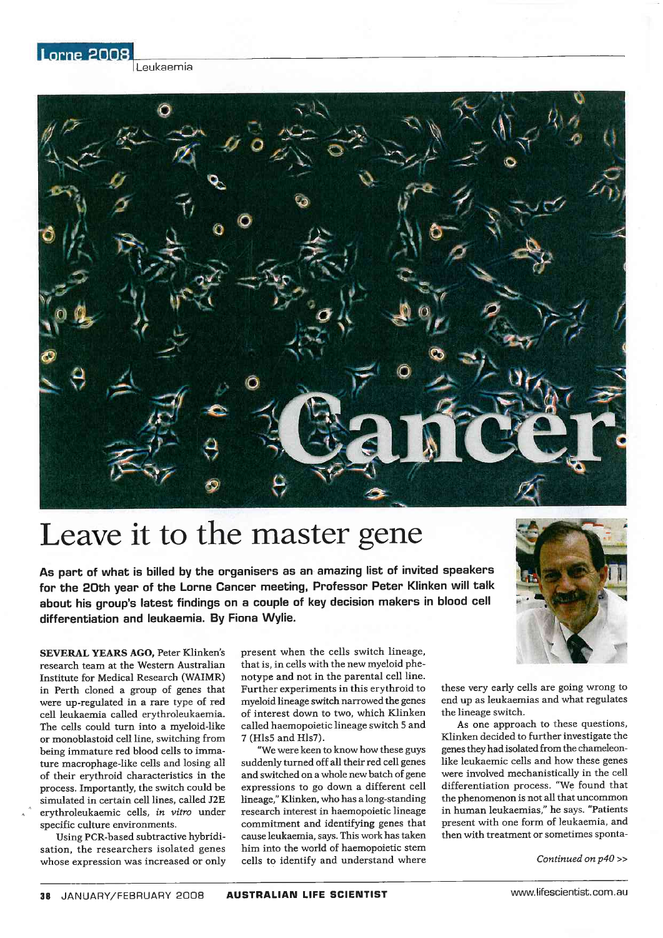Leukaemia

Lorne 2008



## Leave it to the master gene

As part of what is billed by the organisers as an amazing list of invited speakers for the 20th year of the Lorne Cancer meeting, Professor Peter Klinken will talk about his group's latest findings on a couple of key decision makers in blood cell differentiation and leukaemia. By Fiona Wylie.

SEVERAL YEARS AGO, Peter Klinken's research team at the Western Australian Institute for Medical Research (WAIMR) in Perth cloned a group of genes that were up-regulated in a rare type of red cell leukaemia called erythroleukaemia. The cells could turn into a myeloid-like or monoblastoid cell line, switching from being immature red blood cells to immature macrophage-like cells and losing all of their erythroid characteristics in the process. Importantly, the switch could be simulated in certain cell lines, called J2E erythroleukaemic cells, in vitro under specific culture environments.

Using PCR-based subtractive hybridisation, the researchers isolated genes whose expression was increased or only present when the cells switch lineage, that is, in cells with the new myeloid phenotype and not in the parental cell line. Further experiments in this erythroid to myeloid lineage switch narrowed the genes of interest down to two, which Klinken called haemopoietic lineage switch 5 and 7 (Hls5 and Hls7).

"We were keen to know how these guys suddenly turned off all their red cell genes and switched on a whole new batch of gene expressions to go down a different cell lineage," Klinken, who has a long-standing research interest in haemopoietic lineage commitment and identifying genes that cause leukaemia, says. This work has taken him into the world of haemopoietic stem cells to identify and understand where



these very early cells are going wrong to end up as leukaemias and what regulates the lineage switch.

As one approach to these questions, Klinken decided to further investigate the genes they had isolated from the chameleonlike leukaemic cells and how these genes were involved mechanistically in the cell differentiation process. "We found that the phenomenon is not all that uncommon in human leukaemias," he says. "Patients present with one form of leukaemia, and then with treatment or sometimes sponta-

Continued on p40 >>